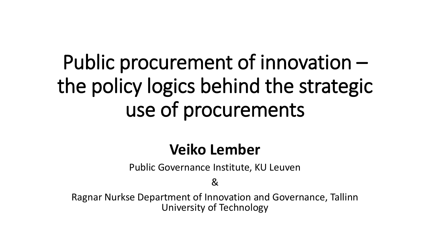# Public procurement of innovation – the policy logics behind the strategic use of procurements

#### **Veiko Lember**

Public Governance Institute, KU Leuven

&

Ragnar Nurkse Department of Innovation and Governance, Tallinn University of Technology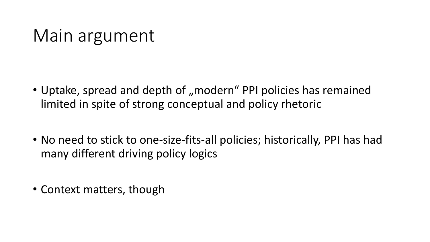#### Main argument

- Uptake, spread and depth of "modern" PPI policies has remained limited in spite of strong conceptual and policy rhetoric
- No need to stick to one-size-fits-all policies; historically, PPI has had many different driving policy logics
- Context matters, though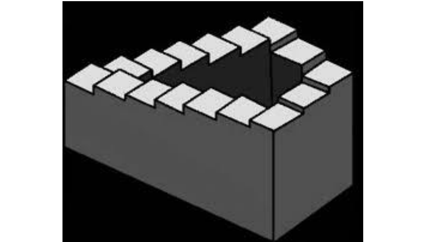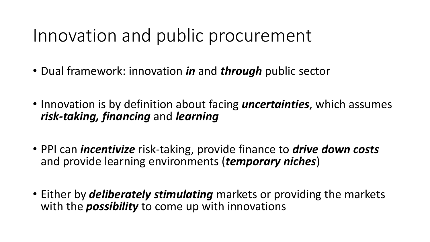### Innovation and public procurement

- Dual framework: innovation *in* and *through* public sector
- Innovation is by definition about facing *uncertainties*, which assumes *risk-taking, financing* and *learning*
- PPI can *incentivize* risk-taking, provide finance to *drive down costs* and provide learning environments (*temporary niches*)
- Either by *deliberately stimulating* markets or providing the markets with the *possibility* to come up with innovations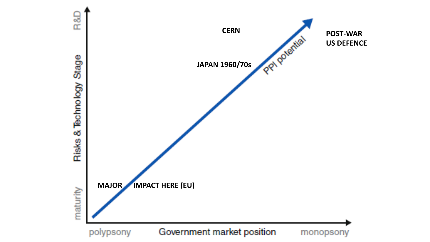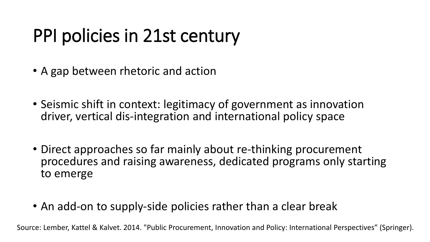## PPI policies in 21st century

- A gap between rhetoric and action
- Seismic shift in context: legitimacy of government as innovation driver, vertical dis-integration and international policy space
- Direct approaches so far mainly about re-thinking procurement procedures and raising awareness, dedicated programs only starting to emerge
- An add-on to supply-side policies rather than a clear break

Source: Lember, Kattel & Kalvet. 2014. "Public Procurement, Innovation and Policy: International Perspectives" (Springer).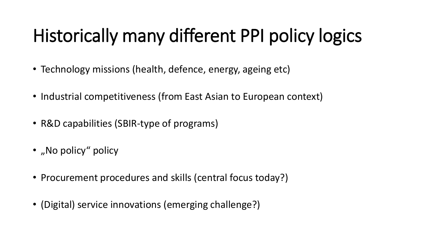## Historically many different PPI policy logics

- Technology missions (health, defence, energy, ageing etc)
- Industrial competitiveness (from East Asian to European context)
- R&D capabilities (SBIR-type of programs)
- · "No policy" policy
- Procurement procedures and skills (central focus today?)
- (Digital) service innovations (emerging challenge?)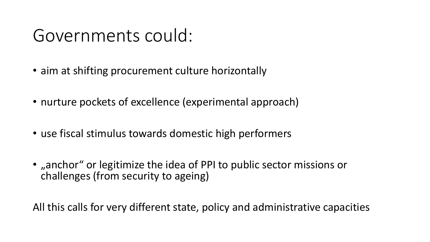#### Governments could:

- aim at shifting procurement culture horizontally
- nurture pockets of excellence (experimental approach)
- use fiscal stimulus towards domestic high performers
- "anchor" or legitimize the idea of PPI to public sector missions or challenges (from security to ageing)

All this calls for very different state, policy and administrative capacities